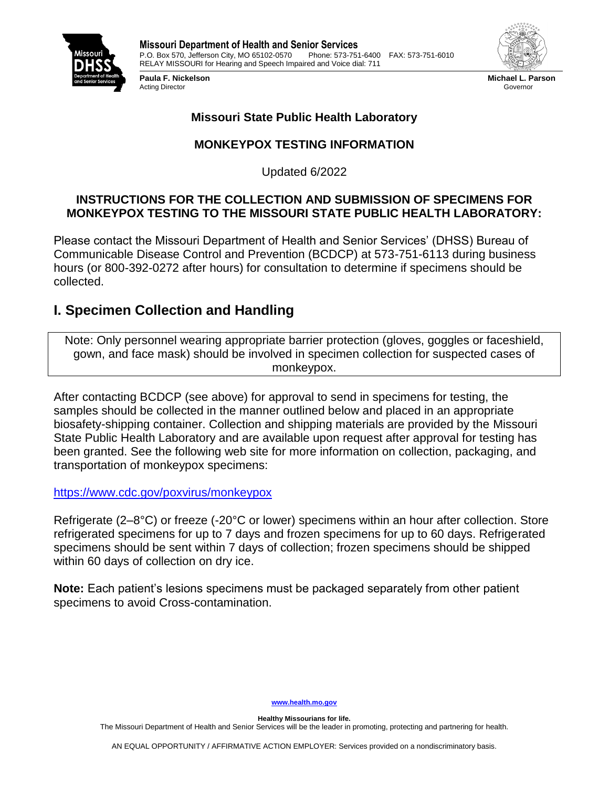



**Michael L. Parson** Governor

## **Missouri State Public Health Laboratory**

# **MONKEYPOX TESTING INFORMATION**

Updated 6/2022

### **INSTRUCTIONS FOR THE COLLECTION AND SUBMISSION OF SPECIMENS FOR MONKEYPOX TESTING TO THE MISSOURI STATE PUBLIC HEALTH LABORATORY:**

Please contact the Missouri Department of Health and Senior Services' (DHSS) Bureau of Communicable Disease Control and Prevention (BCDCP) at 573-751-6113 during business hours (or 800-392-0272 after hours) for consultation to determine if specimens should be collected.

# **I. Specimen Collection and Handling**

Note: Only personnel wearing appropriate barrier protection (gloves, goggles or faceshield, gown, and face mask) should be involved in specimen collection for suspected cases of monkeypox.

After contacting BCDCP (see above) for approval to send in specimens for testing, the samples should be collected in the manner outlined below and placed in an appropriate biosafety-shipping container. Collection and shipping materials are provided by the Missouri State Public Health Laboratory and are available upon request after approval for testing has been granted. See the following web site for more information on collection, packaging, and transportation of monkeypox specimens:

<https://www.cdc.gov/poxvirus/monkeypox>

Refrigerate (2–8°C) or freeze (-20°C or lower) specimens within an hour after collection. Store refrigerated specimens for up to 7 days and frozen specimens for up to 60 days. Refrigerated specimens should be sent within 7 days of collection; frozen specimens should be shipped within 60 days of collection on dry ice.

**Note:** Each patient's lesions specimens must be packaged separately from other patient specimens to avoid Cross-contamination.

#### **[www.health.mo.gov](http://www.health.mo.gov/)**

**Healthy Missourians for life.** The Missouri Department of Health and Senior Services will be the leader in promoting, protecting and partnering for health.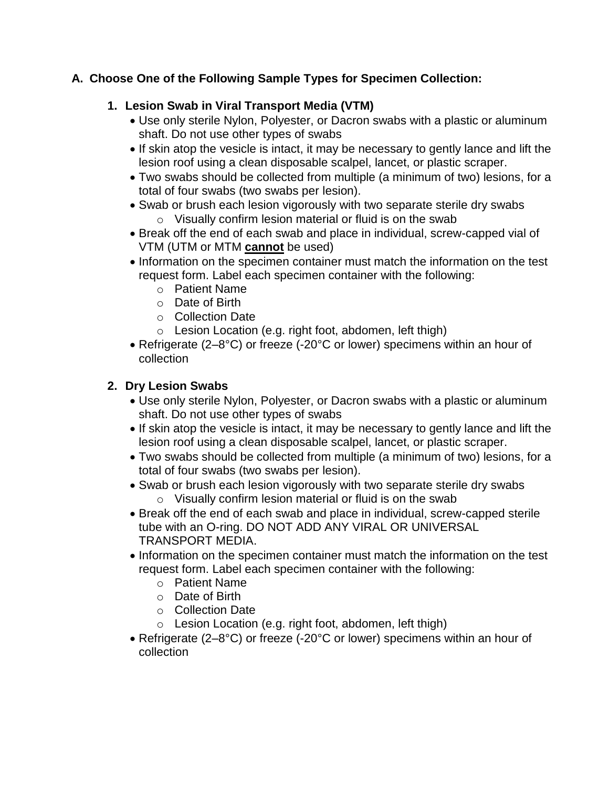## **A. Choose One of the Following Sample Types for Specimen Collection:**

## **1. Lesion Swab in Viral Transport Media (VTM)**

- Use only sterile Nylon, Polyester, or Dacron swabs with a plastic or aluminum shaft. Do not use other types of swabs
- If skin atop the vesicle is intact, it may be necessary to gently lance and lift the lesion roof using a clean disposable scalpel, lancet, or plastic scraper.
- Two swabs should be collected from multiple (a minimum of two) lesions, for a total of four swabs (two swabs per lesion).
- Swab or brush each lesion vigorously with two separate sterile dry swabs o Visually confirm lesion material or fluid is on the swab
- Break off the end of each swab and place in individual, screw-capped vial of VTM (UTM or MTM **cannot** be used)
- Information on the specimen container must match the information on the test request form. Label each specimen container with the following:
	- o Patient Name
	- o Date of Birth
	- o Collection Date
	- o Lesion Location (e.g. right foot, abdomen, left thigh)
- Refrigerate (2–8°C) or freeze (-20°C or lower) specimens within an hour of collection

# **2. Dry Lesion Swabs**

- Use only sterile Nylon, Polyester, or Dacron swabs with a plastic or aluminum shaft. Do not use other types of swabs
- If skin atop the vesicle is intact, it may be necessary to gently lance and lift the lesion roof using a clean disposable scalpel, lancet, or plastic scraper.
- Two swabs should be collected from multiple (a minimum of two) lesions, for a total of four swabs (two swabs per lesion).
- Swab or brush each lesion vigorously with two separate sterile dry swabs
	- $\circ$  Visually confirm lesion material or fluid is on the swab
- Break off the end of each swab and place in individual, screw-capped sterile tube with an O-ring. DO NOT ADD ANY VIRAL OR UNIVERSAL TRANSPORT MEDIA.
- Information on the specimen container must match the information on the test request form. Label each specimen container with the following:
	- o Patient Name
	- o Date of Birth
	- o Collection Date
	- o Lesion Location (e.g. right foot, abdomen, left thigh)
- Refrigerate (2–8°C) or freeze (-20°C or lower) specimens within an hour of collection